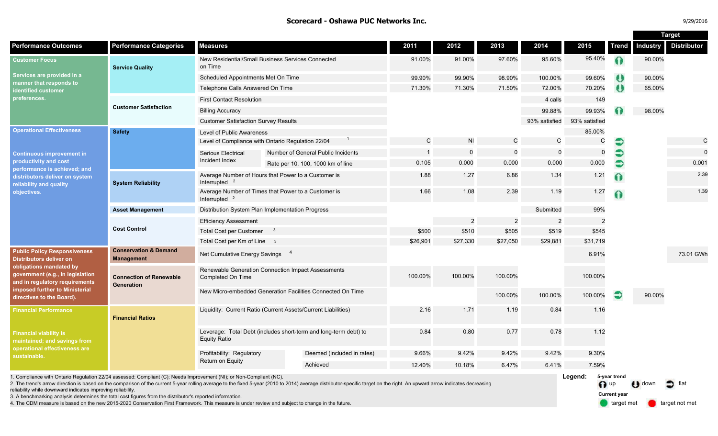### **Scorecard - Oshawa PUC Networks Inc.** 9/2016 **Purpose 2016 12:20:2016 Purpose 2016**

| 9/29/2016 |  |
|-----------|--|
|           |  |

|                                                                                                                                                                                                                                                                                                                                                                                                                 |                                                               |                                                                                         |  |                                                            |               |                |                |                |                 |              | <b>Target</b> |                    |
|-----------------------------------------------------------------------------------------------------------------------------------------------------------------------------------------------------------------------------------------------------------------------------------------------------------------------------------------------------------------------------------------------------------------|---------------------------------------------------------------|-----------------------------------------------------------------------------------------|--|------------------------------------------------------------|---------------|----------------|----------------|----------------|-----------------|--------------|---------------|--------------------|
| <b>Performance Outcomes</b>                                                                                                                                                                                                                                                                                                                                                                                     | <b>Performance Categories</b>                                 | <b>Measures</b>                                                                         |  |                                                            | 2011          | 2012           | 2013           | 2014           | 2015            | <b>Trend</b> | Industry      | <b>Distributor</b> |
| <b>Customer Focus</b><br>Services are provided in a<br>manner that responds to<br>dentified customer<br>preferences.                                                                                                                                                                                                                                                                                            | <b>Service Quality</b>                                        | New Residential/Small Business Services Connected<br>on Time                            |  | 91.00%                                                     | 91.00%        | 97.60%         | 95.60%         | 95.40%         | ⋒               | 90.00%       |               |                    |
|                                                                                                                                                                                                                                                                                                                                                                                                                 |                                                               | Scheduled Appointments Met On Time                                                      |  |                                                            | 99.90%        | 99.90%         | 98.90%         | 100.00%        | 99.60%          | ₩            | 90.00%        |                    |
|                                                                                                                                                                                                                                                                                                                                                                                                                 |                                                               | Telephone Calls Answered On Time                                                        |  |                                                            | 71.30%        | 71.30%         | 71.50%         | 72.00%         | 70.20%          | ω            | 65.00%        |                    |
|                                                                                                                                                                                                                                                                                                                                                                                                                 | <b>Customer Satisfaction</b>                                  | <b>First Contact Resolution</b>                                                         |  |                                                            |               |                |                | 4 calls        | 149             |              |               |                    |
|                                                                                                                                                                                                                                                                                                                                                                                                                 |                                                               | <b>Billing Accuracy</b>                                                                 |  |                                                            |               |                |                | 99.88%         | 99.93%          |              | 98.00%        |                    |
|                                                                                                                                                                                                                                                                                                                                                                                                                 |                                                               | <b>Customer Satisfaction Survey Results</b>                                             |  |                                                            |               |                |                | 93% satisfied  | 93% satisfied   |              |               |                    |
| <b>Operational Effectiveness</b><br><b>Continuous improvement in</b>                                                                                                                                                                                                                                                                                                                                            | <b>Safety</b>                                                 | Level of Public Awareness                                                               |  |                                                            |               |                |                |                | 85.00%          |              |               |                    |
|                                                                                                                                                                                                                                                                                                                                                                                                                 |                                                               | Level of Compliance with Ontario Regulation 22/04                                       |  |                                                            | $\mathcal{C}$ | N <sub>1</sub> | C              | $\mathsf{C}$   | $\mathsf{C}$    | €            |               | $\mathsf{C}$       |
|                                                                                                                                                                                                                                                                                                                                                                                                                 |                                                               | Serious Electrical                                                                      |  | Number of General Public Incidents                         |               | $\overline{0}$ | $\Omega$       | $\overline{0}$ | $\Omega$        | €            |               | $\Omega$           |
| productivity and cost<br>performance is achieved; and                                                                                                                                                                                                                                                                                                                                                           |                                                               | Incident Index                                                                          |  | Rate per 10, 100, 1000 km of line                          | 0.105         | 0.000          | 0.000          | 0.000          | 0.000           | €            |               | 0.001              |
| distributors deliver on system<br>reliability and quality<br>objectives.                                                                                                                                                                                                                                                                                                                                        | <b>System Reliability</b>                                     | Average Number of Hours that Power to a Customer is<br>Interrupted $2$                  |  |                                                            | 1.88          | 1.27           | 6.86           | 1.34           | 1.21            | $\Omega$     |               | 2.39               |
|                                                                                                                                                                                                                                                                                                                                                                                                                 |                                                               | Average Number of Times that Power to a Customer is<br>Interrupted $2$                  |  |                                                            | 1.66          | 1.08           | 2.39           | 1.19           | 1.27            |              |               | 1.39               |
|                                                                                                                                                                                                                                                                                                                                                                                                                 | <b>Asset Management</b>                                       | Distribution System Plan Implementation Progress                                        |  |                                                            |               |                |                | Submitted      | 99%             |              |               |                    |
|                                                                                                                                                                                                                                                                                                                                                                                                                 | <b>Cost Control</b>                                           | <b>Efficiency Assessment</b>                                                            |  |                                                            |               | $\overline{2}$ | $\overline{2}$ | $\overline{2}$ | 2               |              |               |                    |
|                                                                                                                                                                                                                                                                                                                                                                                                                 |                                                               | <b>Total Cost per Customer</b><br>$\overline{\mathbf{3}}$                               |  |                                                            | \$500         | \$510          | \$505          | \$519          | \$545           |              |               |                    |
|                                                                                                                                                                                                                                                                                                                                                                                                                 |                                                               | Total Cost per Km of Line 3                                                             |  |                                                            | \$26,901      | \$27,330       | \$27,050       | \$29,881       | \$31,719        |              |               |                    |
| <b>Public Policy Responsiveness</b><br><b>Distributors deliver on</b><br>obligations mandated by<br>government (e.g., in legislation<br>and in regulatory requirements<br>imposed further to Ministerial<br>directives to the Board).                                                                                                                                                                           | <b>Conservation &amp; Demand</b><br><b>Management</b>         | Net Cumulative Energy Savings 4                                                         |  |                                                            |               |                |                |                | 6.91%           |              |               | 73.01 GWh          |
|                                                                                                                                                                                                                                                                                                                                                                                                                 | <b>Connection of Renewable</b><br><b>Generation</b>           | Renewable Generation Connection Impact Assessments<br>Completed On Time                 |  |                                                            | 100.00%       | 100.00%        | 100.00%        |                | 100.00%         |              |               |                    |
|                                                                                                                                                                                                                                                                                                                                                                                                                 |                                                               |                                                                                         |  | New Micro-embedded Generation Facilities Connected On Time |               |                | 100.00%        | 100.00%        | 100.00%         | €            | 90.00%        |                    |
| <b>Financial Performance</b>                                                                                                                                                                                                                                                                                                                                                                                    | Liquidity: Current Ratio (Current Assets/Current Liabilities) |                                                                                         |  | 2.16                                                       | 1.71          | 1.19           | 0.84           | 1.16           |                 |              |               |                    |
| <b>Financial viability is</b><br>maintained; and savings from<br>operational effectiveness are<br>sustainable.                                                                                                                                                                                                                                                                                                  |                                                               | Leverage: Total Debt (includes short-term and long-term debt) to<br><b>Equity Ratio</b> |  |                                                            | 0.84          | 0.80           | 0.77           | 0.78           | 1.12            |              |               |                    |
|                                                                                                                                                                                                                                                                                                                                                                                                                 |                                                               | Profitability: Regulatory<br>Return on Equity                                           |  | Deemed (included in rates)<br>9.66%                        | 9.42%         | 9.42%          | 9.42%          | 9.30%          |                 |              |               |                    |
|                                                                                                                                                                                                                                                                                                                                                                                                                 |                                                               |                                                                                         |  | Achieved                                                   | 12.40%        | 10.18%         | 6.47%          | 6.41%          | 7.59%           |              |               |                    |
| 1. Compliance with Ontario Regulation 22/04 assessed: Compliant (C); Needs Improvement (NI); or Non-Compliant (NC).<br>2. The trend's arrow direction is based on the comparison of the current 5-year rolling average to the fixed 5-year (2010 to 2014) average distributor-specific target on the right. An upward arrow indicates decreasing<br>reliability while downward indicates improving reliability. |                                                               |                                                                                         |  |                                                            |               |                |                |                | Legend:<br>n up | 5-year trend | <b>down</b>   |                    |

3. A benchmarking analysis determines the total cost figures from the distributor's reported information.

4. The CDM measure is based on the new 2015-2020 Conservation First Framework. This measure is under review and subject to change in the future.

target met **target not met Current year**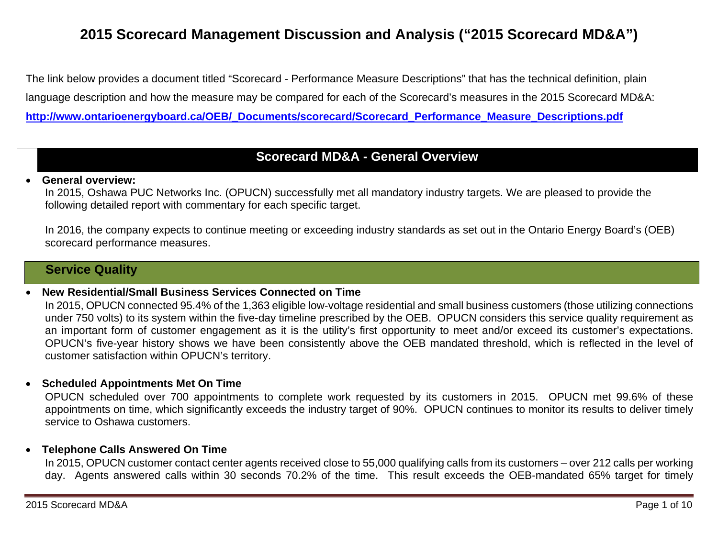# **2015 Scorecard Management Discussion and Analysis ("2015 Scorecard MD&A")**

The link below provides a document titled "Scorecard - Performance Measure Descriptions" that has the technical definition, plain language description and how the measure may be compared for each of the Scorecard's measures in the 2015 Scorecard MD&A: **http://www.ontarioenergyboard.ca/OEB/\_Documents/scorecard/Scorecard\_Performance\_Measure\_Descriptions.pdf** 

## **Scorecard MD&A - General Overview**

#### 0 **General overview:**

In 2015, Oshawa PUC Networks Inc. (OPUCN) successfully met all mandatory industry targets. We are pleased to provide the following detailed report with commentary for each specific target.

In 2016, the company expects to continue meeting or exceeding industry standards as set out in the Ontario Energy Board's (OEB) scorecard performance measures.

## **Service Quality**

### 0 **New Residential/Small Business Services Connected on Time**

In 2015, OPUCN connected 95.4% of the 1,363 eligible low-voltage residential and small business customers (those utilizing connections under 750 volts) to its system within the five-day timeline prescribed by the OEB. OPUCN considers this service quality requirement as an important form of customer engagement as it is the utility's first opportunity to meet and/or exceed its customer's expectations. OPUCN's five-year history shows we have been consistently above the OEB mandated threshold, which is reflected in the level of customer satisfaction within OPUCN's territory.

### **Scheduled Appointments Met On Time**

OPUCN scheduled over 700 appointments to complete work requested by its customers in 2015. OPUCN met 99.6% of these appointments on time, which significantly exceeds the industry target of 90%. OPUCN continues to monitor its results to deliver timely service to Oshawa customers.

### **Telephone Calls Answered On Time**

In 2015, OPUCN customer contact center agents received close to 55,000 qualifying calls from its customers – over 212 calls per working day. Agents answered calls within 30 seconds 70.2% of the time. This result exceeds the OEB-mandated 65% target for timely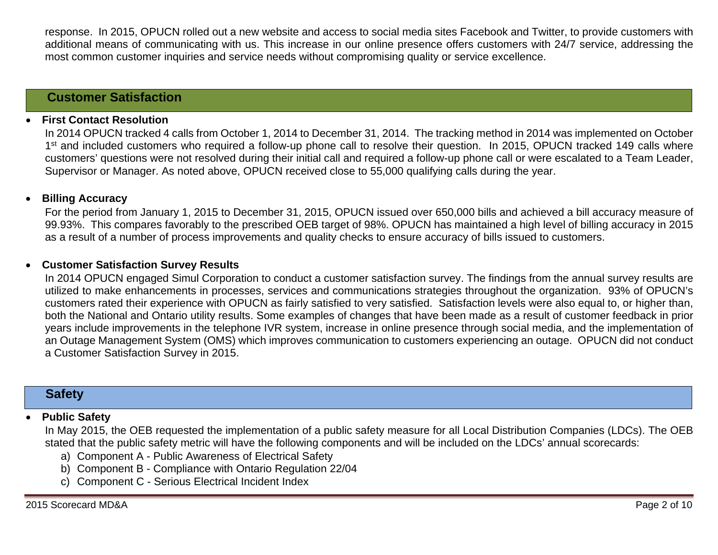response. In 2015, OPUCN rolled out a new website and access to social media sites Facebook and Twitter, to provide customers with additional means of communicating with us. This increase in our online presence offers customers with 24/7 service, addressing the most common customer inquiries and service needs without compromising quality or service excellence.

### **Customer Satisfaction**

#### 0 **First Contact Resolution**

In 2014 OPUCN tracked 4 calls from October 1, 2014 to December 31, 2014. The tracking method in 2014 was implemented on October 1<sup>st</sup> and included customers who required a follow-up phone call to resolve their question. In 2015, OPUCN tracked 149 calls where customers' questions were not resolved during their initial call and required a follow-up phone call or were escalated to a Team Leader, Supervisor or Manager. As noted above, OPUCN received close to 55,000 qualifying calls during the year.

#### $\bullet$ **Billing Accuracy**

For the period from January 1, 2015 to December 31, 2015, OPUCN issued over 650,000 bills and achieved a bill accuracy measure of 99.93%. This compares favorably to the prescribed OEB target of 98%. OPUCN has maintained a high level of billing accuracy in 2015 as a result of a number of process improvements and quality checks to ensure accuracy of bills issued to customers.

#### $\bullet$ **Customer Satisfaction Survey Results**

In 2014 OPUCN engaged Simul Corporation to conduct a customer satisfaction survey. The findings from the annual survey results are utilized to make enhancements in processes, services and communications strategies throughout the organization. 93% of OPUCN's customers rated their experience with OPUCN as fairly satisfied to very satisfied. Satisfaction levels were also equal to, or higher than, both the National and Ontario utility results. Some examples of changes that have been made as a result of customer feedback in prior years include improvements in the telephone IVR system, increase in online presence through social media, and the implementation of an Outage Management System (OMS) which improves communication to customers experiencing an outage. OPUCN did not conduct a Customer Satisfaction Survey in 2015.

### **Safety**

### 0 **Public Safety**

In May 2015, the OEB requested the implementation of a public safety measure for all Local Distribution Companies (LDCs). The OEB stated that the public safety metric will have the following components and will be included on the LDCs' annual scorecards:

- a) Component A Public Awareness of Electrical Safety
- b) Component B Compliance with Ontario Regulation 22/04
- c) Component C Serious Electrical Incident Index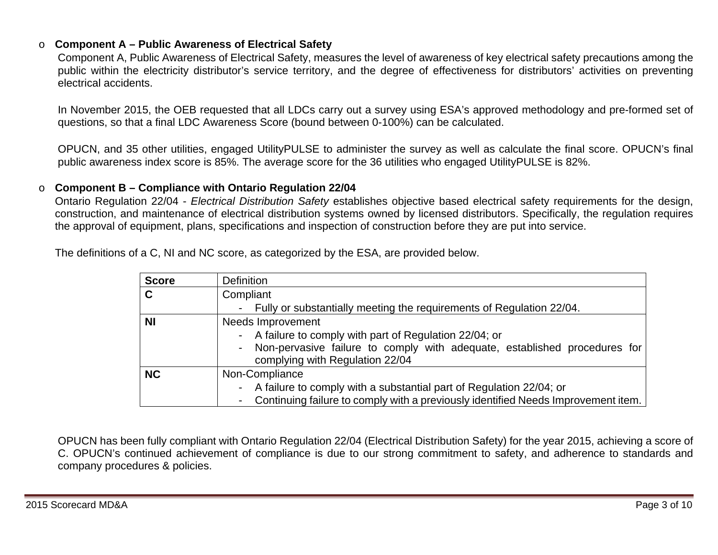### o **Component A – Public Awareness of Electrical Safety**

Component A, Public Awareness of Electrical Safety, measures the level of awareness of key electrical safety precautions among the public within the electricity distributor's service territory, and the degree of effectiveness for distributors' activities on preventing electrical accidents.

In November 2015, the OEB requested that all LDCs carry out a survey using ESA's approved methodology and pre-formed set of questions, so that a final LDC Awareness Score (bound between 0-100%) can be calculated.

OPUCN, and 35 other utilities, engaged UtilityPULSE to administer the survey as well as calculate the final score. OPUCN's final public awareness index score is 85%. The average score for the 36 utilities who engaged UtilityPULSE is 82%.

#### o**Component B – Compliance with Ontario Regulation 22/04**

Ontario Regulation 22/04 - *Electrical Distribution Safety* establishes objective based electrical safety requirements for the design, construction, and maintenance of electrical distribution systems owned by licensed distributors. Specifically, the regulation requires the approval of equipment, plans, specifications and inspection of construction before they are put into service.

The definitions of a C, NI and NC score, as categorized by the ESA, are provided below.

| <b>Score</b> | <b>Definition</b>                                                                                                                                                         |
|--------------|---------------------------------------------------------------------------------------------------------------------------------------------------------------------------|
| C            | Compliant                                                                                                                                                                 |
|              | - Fully or substantially meeting the requirements of Regulation 22/04.                                                                                                    |
| <b>NI</b>    | Needs Improvement                                                                                                                                                         |
|              | - A failure to comply with part of Regulation 22/04; or<br>- Non-pervasive failure to comply with adequate, established procedures for<br>complying with Regulation 22/04 |
| <b>NC</b>    | Non-Compliance                                                                                                                                                            |
|              | - A failure to comply with a substantial part of Regulation 22/04; or<br>Continuing failure to comply with a previously identified Needs Improvement item.                |

OPUCN has been fully compliant with Ontario Regulation 22/04 (Electrical Distribution Safety) for the year 2015, achieving a score of C. OPUCN's continued achievement of compliance is due to our strong commitment to safety, and adherence to standards and company procedures & policies.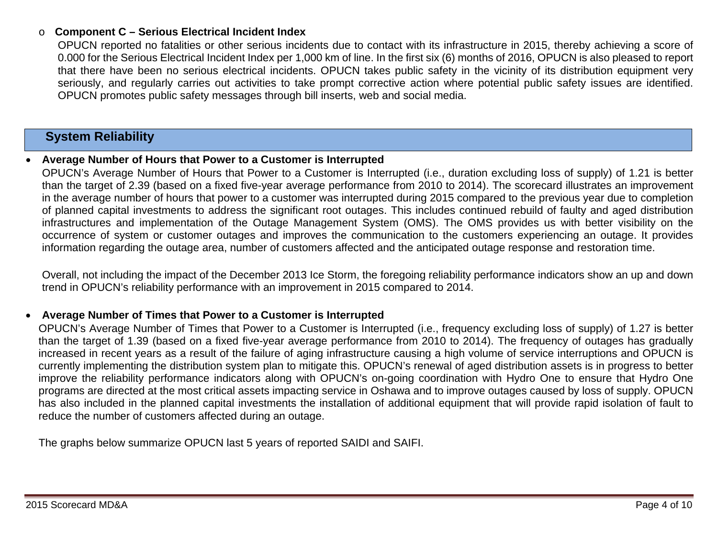### o**Component C – Serious Electrical Incident Index**

OPUCN reported no fatalities or other serious incidents due to contact with its infrastructure in 2015, thereby achieving a score of 0.000 for the Serious Electrical Incident Index per 1,000 km of line. In the first six (6) months of 2016, OPUCN is also pleased to report that there have been no serious electrical incidents. OPUCN takes public safety in the vicinity of its distribution equipment very seriously, and regularly carries out activities to take prompt corrective action where potential public safety issues are identified. OPUCN promotes public safety messages through bill inserts, web and social media.

## **System Reliability**

#### 0 **Average Number of Hours that Power to a Customer is Interrupted**

OPUCN's Average Number of Hours that Power to a Customer is Interrupted (i.e., duration excluding loss of supply) of 1.21 is better than the target of 2.39 (based on a fixed five-year average performance from 2010 to 2014). The scorecard illustrates an improvement in the average number of hours that power to a customer was interrupted during 2015 compared to the previous year due to completion of planned capital investments to address the significant root outages. This includes continued rebuild of faulty and aged distribution infrastructures and implementation of the Outage Management System (OMS). The OMS provides us with better visibility on the occurrence of system or customer outages and improves the communication to the customers experiencing an outage. It provides information regarding the outage area, number of customers affected and the anticipated outage response and restoration time.

Overall, not including the impact of the December 2013 Ice Storm, the foregoing reliability performance indicators show an up and down trend in OPUCN's reliability performance with an improvement in 2015 compared to 2014.

### 0 **Average Number of Times that Power to a Customer is Interrupted**

OPUCN's Average Number of Times that Power to a Customer is Interrupted (i.e., frequency excluding loss of supply) of 1.27 is better than the target of 1.39 (based on a fixed five-year average performance from 2010 to 2014). The frequency of outages has gradually increased in recent years as a result of the failure of aging infrastructure causing a high volume of service interruptions and OPUCN is currently implementing the distribution system plan to mitigate this. OPUCN's renewal of aged distribution assets is in progress to better improve the reliability performance indicators along with OPUCN's on-going coordination with Hydro One to ensure that Hydro One programs are directed at the most critical assets impacting service in Oshawa and to improve outages caused by loss of supply. OPUCN has also included in the planned capital investments the installation of additional equipment that will provide rapid isolation of fault to reduce the number of customers affected during an outage.

The graphs below summarize OPUCN last 5 years of reported SAIDI and SAIFI.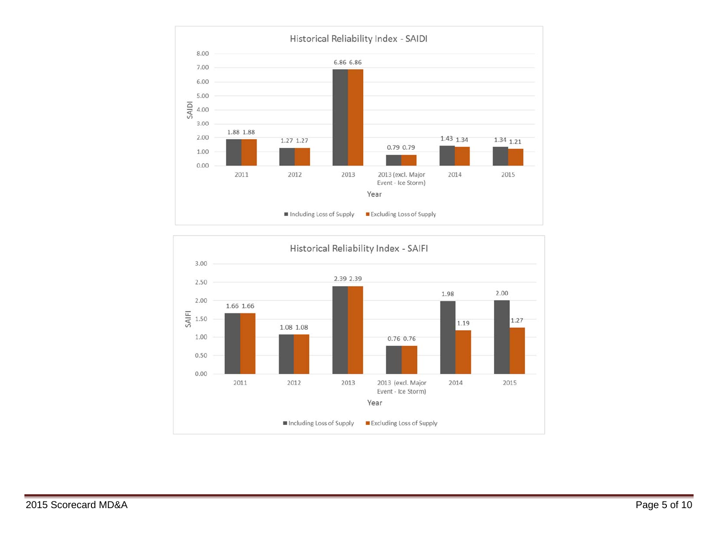

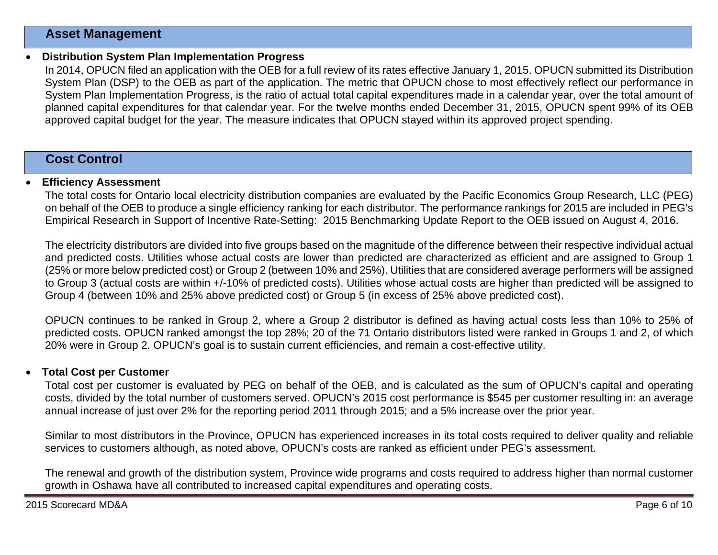### **Asset Management**

#### 0 **Distribution System Plan Implementation Progress**

In 2014, OPUCN filed an application with the OEB for a full review of its rates effective January 1, 2015. OPUCN submitted its Distribution System Plan (DSP) to the OEB as part of the application. The metric that OPUCN chose to most effectively reflect our performance in System Plan Implementation Progress, is the ratio of actual total capital expenditures made in a calendar year, over the total amount of planned capital expenditures for that calendar year. For the twelve months ended December 31, 2015, OPUCN spent 99% of its OEB approved capital budget for the year. The measure indicates that OPUCN stayed within its approved project spending.

### **Cost Control**

#### 0 **Efficiency Assessment**

The total costs for Ontario local electricity distribution companies are evaluated by the Pacific Economics Group Research, LLC (PEG) on behalf of the OEB to produce a single efficiency ranking for each distributor. The performance rankings for 2015 are included in PEG's Empirical Research in Support of Incentive Rate-Setting: 2015 Benchmarking Update Report to the OEB issued on August 4, 2016.

The electricity distributors are divided into five groups based on the magnitude of the difference between their respective individual actual and predicted costs. Utilities whose actual costs are lower than predicted are characterized as efficient and are assigned to Group 1 (25% or more below predicted cost) or Group 2 (between 10% and 25%). Utilities that are considered average performers will be assigned to Group 3 (actual costs are within +/-10% of predicted costs). Utilities whose actual costs are higher than predicted will be assigned to Group 4 (between 10% and 25% above predicted cost) or Group 5 (in excess of 25% above predicted cost).

OPUCN continues to be ranked in Group 2, where a Group 2 distributor is defined as having actual costs less than 10% to 25% of predicted costs. OPUCN ranked amongst the top 28%; 20 of the 71 Ontario distributors listed were ranked in Groups 1 and 2, of which 20% were in Group 2. OPUCN's goal is to sustain current efficiencies, and remain a cost-effective utility.

#### 0 **Total Cost per Customer**

Total cost per customer is evaluated by PEG on behalf of the OEB, and is calculated as the sum of OPUCN's capital and operating costs, divided by the total number of customers served. OPUCN's 2015 cost performance is \$545 per customer resulting in: an average annual increase of just over 2% for the reporting period 2011 through 2015; and a 5% increase over the prior year.

Similar to most distributors in the Province, OPUCN has experienced increases in its total costs required to deliver quality and reliable services to customers although, as noted above, OPUCN's costs are ranked as efficient under PEG's assessment.

The renewal and growth of the distribution system, Province wide programs and costs required to address higher than normal customer growth in Oshawa have all contributed to increased capital expenditures and operating costs.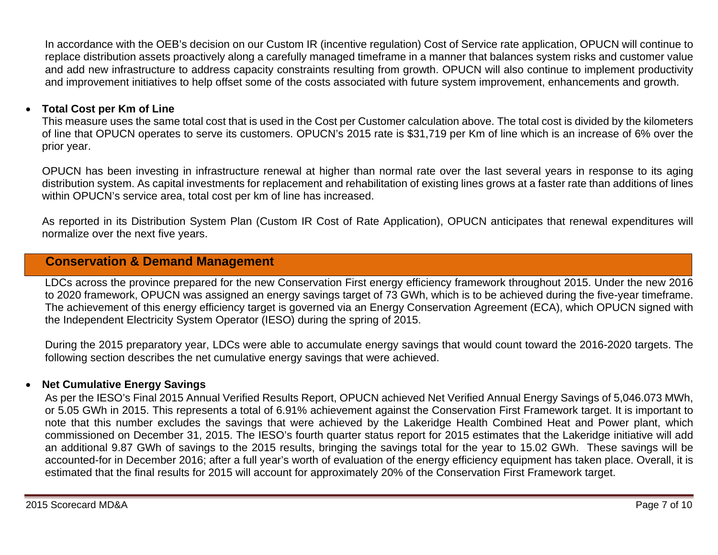In accordance with the OEB's decision on our Custom IR (incentive regulation) Cost of Service rate application, OPUCN will continue to replace distribution assets proactively along a carefully managed timeframe in a manner that balances system risks and customer value and add new infrastructure to address capacity constraints resulting from growth. OPUCN will also continue to implement productivity and improvement initiatives to help offset some of the costs associated with future system improvement, enhancements and growth.

### $\bullet$ **Total Cost per Km of Line**

This measure uses the same total cost that is used in the Cost per Customer calculation above. The total cost is divided by the kilometers of line that OPUCN operates to serve its customers. OPUCN's 2015 rate is \$31,719 per Km of line which is an increase of 6% over the prior year.

OPUCN has been investing in infrastructure renewal at higher than normal rate over the last several years in response to its aging distribution system. As capital investments for replacement and rehabilitation of existing lines grows at a faster rate than additions of lines within OPUCN's service area, total cost per km of line has increased.

As reported in its Distribution System Plan (Custom IR Cost of Rate Application), OPUCN anticipates that renewal expenditures will normalize over the next five years.

## **Conservation & Demand Management**

LDCs across the province prepared for the new Conservation First energy efficiency framework throughout 2015. Under the new 2016 to 2020 framework, OPUCN was assigned an energy savings target of 73 GWh, which is to be achieved during the five-year timeframe. The achievement of this energy efficiency target is governed via an Energy Conservation Agreement (ECA), which OPUCN signed with the Independent Electricity System Operator (IESO) during the spring of 2015.

During the 2015 preparatory year, LDCs were able to accumulate energy savings that would count toward the 2016-2020 targets. The following section describes the net cumulative energy savings that were achieved.

### 0 **Net Cumulative Energy Savings**

As per the IESO's Final 2015 Annual Verified Results Report, OPUCN achieved Net Verified Annual Energy Savings of 5,046.073 MWh, or 5.05 GWh in 2015. This represents a total of 6.91% achievement against the Conservation First Framework target. It is important to note that this number excludes the savings that were achieved by the Lakeridge Health Combined Heat and Power plant, which commissioned on December 31, 2015. The IESO's fourth quarter status report for 2015 estimates that the Lakeridge initiative will add an additional 9.87 GWh of savings to the 2015 results, bringing the savings total for the year to 15.02 GWh. These savings will be accounted-for in December 2016; after a full year's worth of evaluation of the energy efficiency equipment has taken place. Overall, it is estimated that the final results for 2015 will account for approximately 20% of the Conservation First Framework target.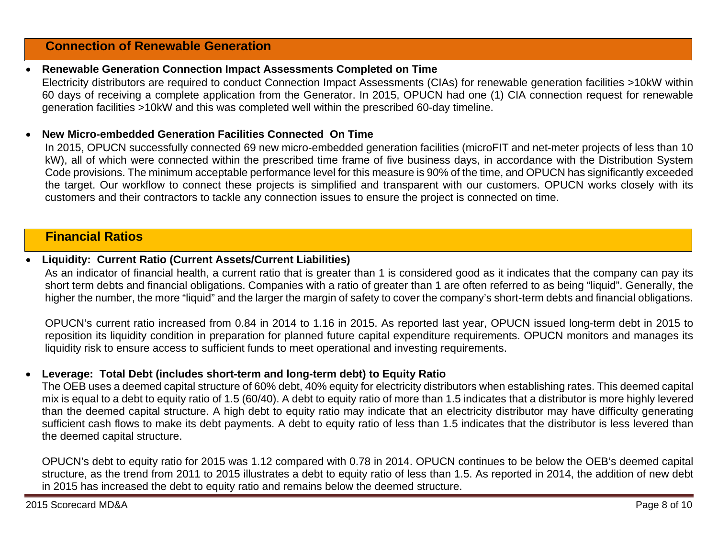### **Connection of Renewable Generation**

### 0 **Renewable Generation Connection Impact Assessments Completed on Time**

Electricity distributors are required to conduct Connection Impact Assessments (CIAs) for renewable generation facilities >10kW within 60 days of receiving a complete application from the Generator. In 2015, OPUCN had one (1) CIA connection request for renewable generation facilities >10kW and this was completed well within the prescribed 60-day timeline.

### 0 **New Micro-embedded Generation Facilities Connected On Time**

In 2015, OPUCN successfully connected 69 new micro-embedded generation facilities (microFIT and net-meter projects of less than 10 kW), all of which were connected within the prescribed time frame of five business days, in accordance with the Distribution System Code provisions. The minimum acceptable performance level for this measure is 90% of the time, and OPUCN has significantly exceeded the target. Our workflow to connect these projects is simplified and transparent with our customers. OPUCN works closely with its customers and their contractors to tackle any connection issues to ensure the project is connected on time.

### **Financial Ratios**

### 0 **Liquidity: Current Ratio (Current Assets/Current Liabilities)**

As an indicator of financial health, a current ratio that is greater than 1 is considered good as it indicates that the company can pay its short term debts and financial obligations. Companies with a ratio of greater than 1 are often referred to as being "liquid". Generally, the higher the number, the more "liquid" and the larger the margin of safety to cover the company's short-term debts and financial obligations.

OPUCN's current ratio increased from 0.84 in 2014 to 1.16 in 2015. As reported last year, OPUCN issued long-term debt in 2015 to reposition its liquidity condition in preparation for planned future capital expenditure requirements. OPUCN monitors and manages its liquidity risk to ensure access to sufficient funds to meet operational and investing requirements.

### 0 **Leverage: Total Debt (includes short-term and long-term debt) to Equity Ratio**

The OEB uses a deemed capital structure of 60% debt, 40% equity for electricity distributors when establishing rates. This deemed capital mix is equal to a debt to equity ratio of 1.5 (60/40). A debt to equity ratio of more than 1.5 indicates that a distributor is more highly levered than the deemed capital structure. A high debt to equity ratio may indicate that an electricity distributor may have difficulty generating sufficient cash flows to make its debt payments. A debt to equity ratio of less than 1.5 indicates that the distributor is less levered than the deemed capital structure.

OPUCN's debt to equity ratio for 2015 was 1.12 compared with 0.78 in 2014. OPUCN continues to be below the OEB's deemed capital structure, as the trend from 2011 to 2015 illustrates a debt to equity ratio of less than 1.5. As reported in 2014, the addition of new debt in 2015 has increased the debt to equity ratio and remains below the deemed structure.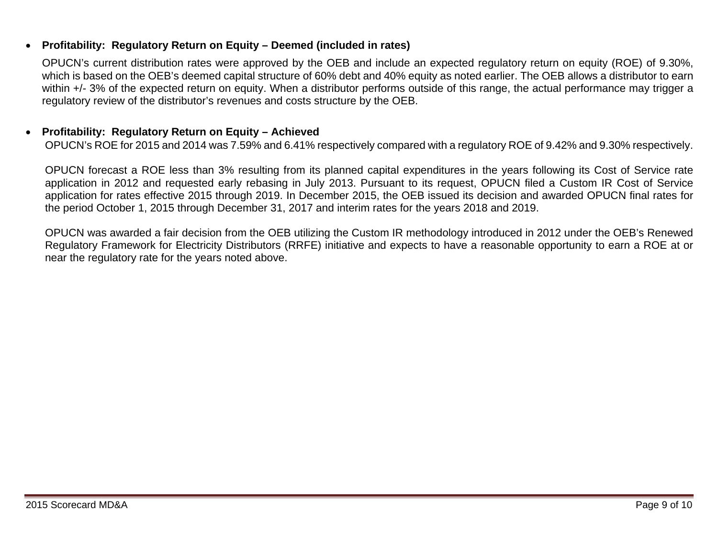### 0 **Profitability: Regulatory Return on Equity – Deemed (included in rates)**

OPUCN's current distribution rates were approved by the OEB and include an expected regulatory return on equity (ROE) of 9.30%, which is based on the OEB's deemed capital structure of 60% debt and 40% equity as noted earlier. The OEB allows a distributor to earn within +/- 3% of the expected return on equity. When a distributor performs outside of this range, the actual performance may trigger a regulatory review of the distributor's revenues and costs structure by the OEB.

### 0 **Profitability: Regulatory Return on Equity – Achieved**

OPUCN's ROE for 2015 and 2014 was 7.59% and 6.41% respectively compared with a regulatory ROE of 9.42% and 9.30% respectively.

OPUCN forecast a ROE less than 3% resulting from its planned capital expenditures in the years following its Cost of Service rate application in 2012 and requested early rebasing in July 2013. Pursuant to its request, OPUCN filed a Custom IR Cost of Service application for rates effective 2015 through 2019. In December 2015, the OEB issued its decision and awarded OPUCN final rates for the period October 1, 2015 through December 31, 2017 and interim rates for the years 2018 and 2019.

OPUCN was awarded a fair decision from the OEB utilizing the Custom IR methodology introduced in 2012 under the OEB's Renewed Regulatory Framework for Electricity Distributors (RRFE) initiative and expects to have a reasonable opportunity to earn a ROE at or near the regulatory rate for the years noted above.